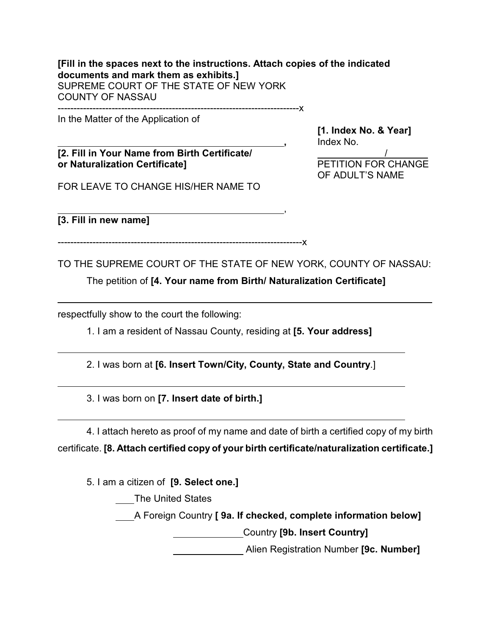**[Fill in the spaces next to the instructions. Attach copies of the indicated documents and mark them as exhibits.]** SUPREME COURT OF THE STATE OF NEW YORK COUNTY OF NASSAU ----------------------------------------------------------------------------x

In the Matter of the Application of

**[2. Fill in Your Name from Birth Certificate/ or Naturalization Certificate]** PETITION FOR CHANGE

**[1. Index No. & Year] ,** Index No.

OF ADULT'S NAME

FOR LEAVE TO CHANGE HIS/HER NAME TO

,

**[3. Fill in new name]** 

l

l

l

l

-----------------------------------------------------------------------------x

TO THE SUPREME COURT OF THE STATE OF NEW YORK, COUNTY OF NASSAU:

The petition of **[4. Your name from Birth/ Naturalization Certificate]** 

respectfully show to the court the following:

1. I am a resident of Nassau County, residing at **[5. Your address]**

2. I was born at **[6. Insert Town/City, County, State and Country**.]

3. I was born on **[7. Insert date of birth.]**

4. I attach hereto as proof of my name and date of birth a certified copy of my birth certificate. **[8. Attach certified copy of your birth certificate/naturalization certificate.]**

5. I am a citizen of **[9. Select one.]**

The United States

A Foreign Country **[ 9a. If checked, complete information below]**

Country **[9b. Insert Country]**

Alien Registration Number **[9c. Number]**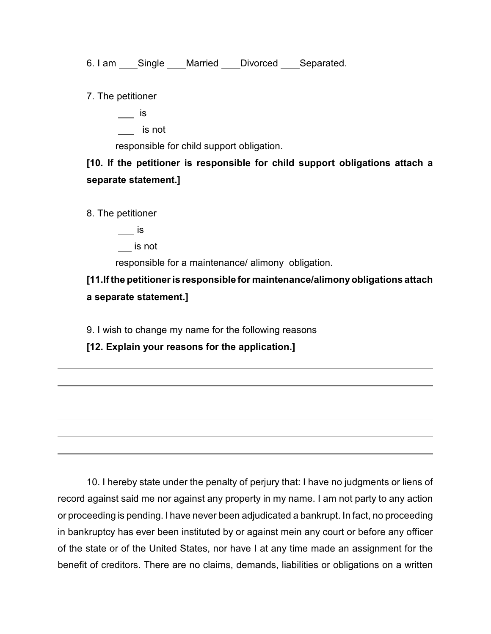6. I am \_\_\_\_Single \_\_\_\_Married \_\_\_\_Divorced \_\_\_\_Separated.

7. The petitioner

is

is not

responsible for child support obligation.

**[10. If the petitioner is responsible for child support obligations attach a separate statement.]**

8. The petitioner

 $\equiv$ is

is not

responsible for a maintenance/ alimony obligation.

**[11.If the petitioner is responsible for maintenance/alimony obligations attach a separate statement.]** 

9. I wish to change my name for the following reasons

**[12. Explain your reasons for the application.]**

10. I hereby state under the penalty of perjury that: I have no judgments or liens of record against said me nor against any property in my name. I am not party to any action or proceeding is pending. I have never been adjudicated a bankrupt. In fact, no proceeding in bankruptcy has ever been instituted by or against mein any court or before any officer of the state or of the United States, nor have I at any time made an assignment for the benefit of creditors. There are no claims, demands, liabilities or obligations on a written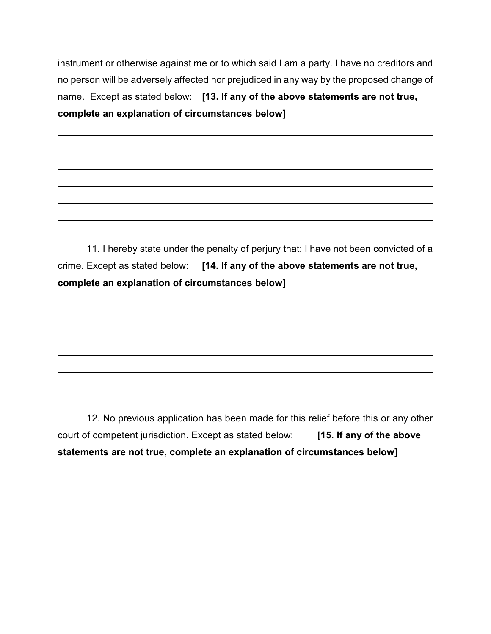instrument or otherwise against me or to which said I am a party. I have no creditors and no person will be adversely affected nor prejudiced in any way by the proposed change of name. Except as stated below: **[13. If any of the above statements are not true, complete an explanation of circumstances below]**

11. I hereby state under the penalty of perjury that: I have not been convicted of a crime. Except as stated below: **[14. If any of the above statements are not true, complete an explanation of circumstances below]**

12. No previous application has been made for this relief before this or any other court of competent jurisdiction. Except as stated below: **[15. If any of the above statements are not true, complete an explanation of circumstances below]**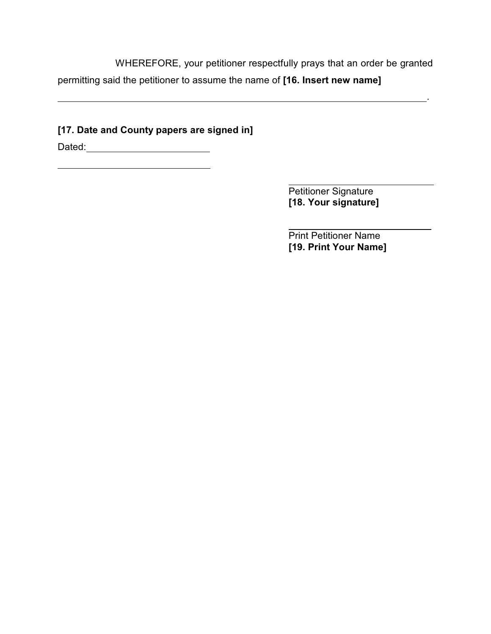WHEREFORE, your petitioner respectfully prays that an order be granted permitting said the petitioner to assume the name of **[16. Insert new name]**

<u>. Andre de la contrada de la contrada de la contrada de la contrada de la contrada de la contrada de la contra</u>

## **[17. Date and County papers are signed in]**

Dated:

 $\overline{a}$ 

 $\overline{a}$ Petitioner Signature **[18. Your signature]**

l Print Petitioner Name **[19. Print Your Name]**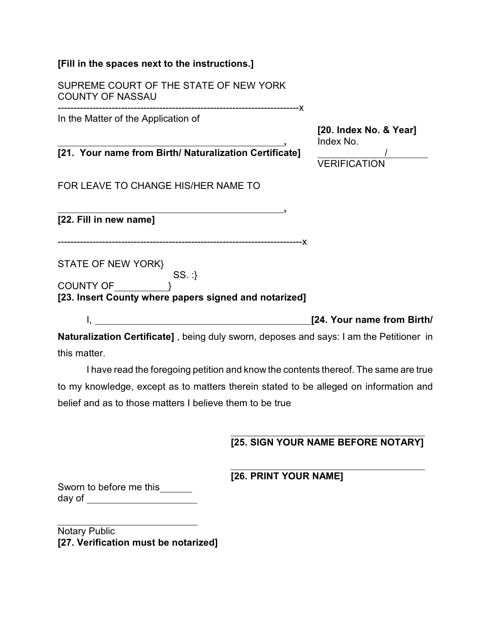| SUPREME COURT OF THE STATE OF NEW YORK<br><b>COUNTY OF NASSAU</b>                                                                                                       |                                     |
|-------------------------------------------------------------------------------------------------------------------------------------------------------------------------|-------------------------------------|
| In the Matter of the Application of                                                                                                                                     | [20. Index No. & Year]<br>Index No. |
| [21. Your name from Birth/ Naturalization Certificate]                                                                                                                  | <b>VERIFICATION</b>                 |
| FOR LEAVE TO CHANGE HIS/HER NAME TO                                                                                                                                     |                                     |
| [22. Fill in new name]                                                                                                                                                  |                                     |
| <b>STATE OF NEW YORK}</b><br>SS:                                                                                                                                        |                                     |
| COUNTY OF THE STATE OF THE STATE OF THE STATE OF THE STATE OF THE STATE OF THE STATE OF THE STATE OF THE STATE<br>[23. Insert County where papers signed and notarized] |                                     |
| <u> 1980 - Andrea Station Barbara, amerikan personal (h. 1980).</u>                                                                                                     | [24. Your name from Birth/          |
| <b>Naturalization Certificatel</b> , being duly sworn, deposes and says: I am the Petitioner in                                                                         |                                     |

**}]** , being duly sworn, deposes and say this matter.

I have read the foregoing petition and know the contents thereof. The same are true to my knowledge, except as to matters therein stated to be alleged on information and belief and as to those matters I believe them to be true

## **[25. SIGN YOUR NAME BEFORE NOTARY]**

 **[26. PRINT YOUR NAME]**

Sworn to before me this\_\_\_\_\_\_ day of

l Notary Public **[27. Verification must be notarized]**

**[Fill in the spaces next to the instructions.]**